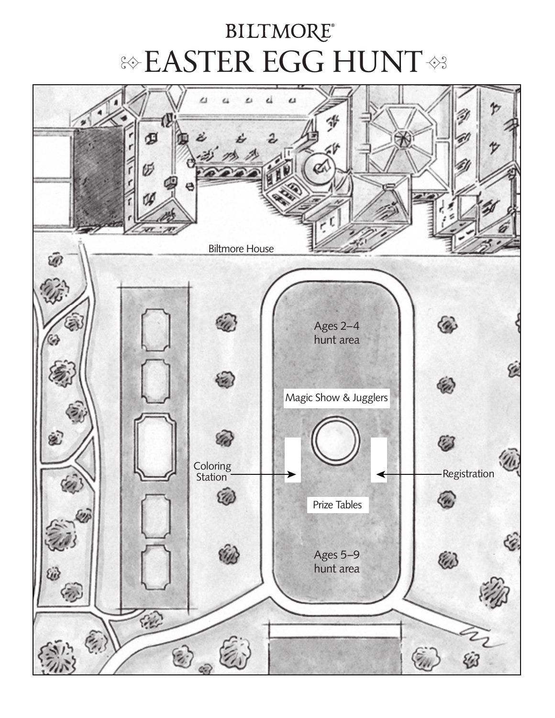# **BILTMORE® EASTER EGG HUNT <>**

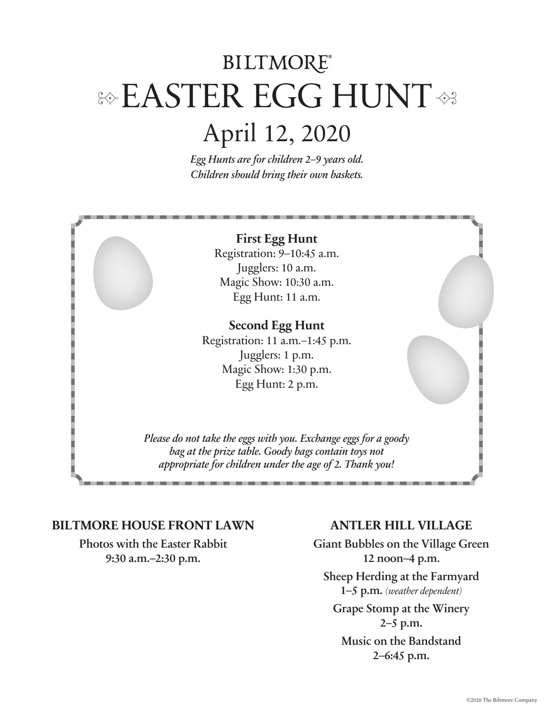# **BILTMORE®** & EASTER EGG HUNT

# April 12, 2020

*Egg Hunts are for children 2–9 years old. Children should bring their own baskets.*



#### **BILTMORE HOUSE FRONT LAWN**

Photos with the Easter Rabbit 9:30 a.m.–2:30 p.m.

### **ANTLER HILL VILLAGE**

Giant Bubbles on the Village Green 12 noon–4 p.m. Sheep Herding at the Farmyard 1–5 p.m. *(weather dependent)* Grape Stomp at the Winery 2–5 p.m. Music on the Bandstand 2–6:45 p.m.